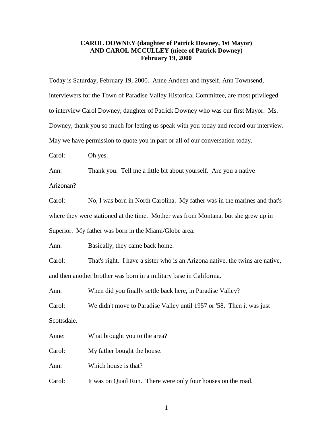## **CAROL DOWNEY (daughter of Patrick Downey, 1st Mayor) AND CAROL MCCULLEY (niece of Patrick Downey) February 19, 2000**

Today is Saturday, February 19, 2000. Anne Andeen and myself, Ann Townsend, interviewers for the Town of Paradise Valley Historical Committee, are most privileged to interview Carol Downey, daughter of Patrick Downey who was our first Mayor. Ms. Downey, thank you so much for letting us speak with you today and record our interview. May we have permission to quote you in part or all of our conversation today.

Carol: Oh yes.

Ann: Thank you. Tell me a little bit about yourself. Are you a native Arizonan?

Carol: No, I was born in North Carolina. My father was in the marines and that's where they were stationed at the time. Mother was from Montana, but she grew up in Superior. My father was born in the Miami/Globe area.

Ann: Basically, they came back home.

Carol: That's right. I have a sister who is an Arizona native, the twins are native, and then another brother was born in a military base in California.

Ann: When did you finally settle back here, in Paradise Valley?

Carol: We didn't move to Paradise Valley until 1957 or '58. Then it was just

Scottsdale.

Anne: What brought you to the area?

Carol: My father bought the house.

Ann: Which house is that?

Carol: It was on Quail Run. There were only four houses on the road.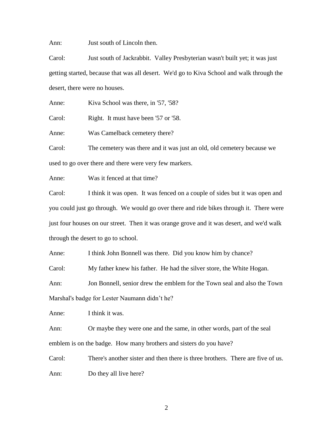Ann: Just south of Lincoln then.

Carol: Just south of Jackrabbit. Valley Presbyterian wasn't built yet; it was just getting started, because that was all desert. We'd go to Kiva School and walk through the desert, there were no houses.

Anne: Kiva School was there, in '57, '58?

Carol: Right. It must have been '57 or '58.

Anne: Was Camelback cemetery there?

Carol: The cemetery was there and it was just an old, old cemetery because we used to go over there and there were very few markers.

Anne: Was it fenced at that time?

Carol: I think it was open. It was fenced on a couple of sides but it was open and you could just go through. We would go over there and ride bikes through it. There were just four houses on our street. Then it was orange grove and it was desert, and we'd walk through the desert to go to school.

Anne: I think John Bonnell was there. Did you know him by chance?

Carol: My father knew his father. He had the silver store, the White Hogan.

Ann: Jon Bonnell, senior drew the emblem for the Town seal and also the Town Marshal's badge for Lester Naumann didn't he?

Anne: I think it was.

Ann: Or maybe they were one and the same, in other words, part of the seal emblem is on the badge. How many brothers and sisters do you have?

Carol: There's another sister and then there is three brothers. There are five of us. Ann: Do they all live here?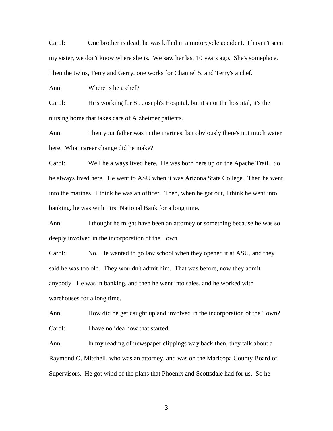Carol: One brother is dead, he was killed in a motorcycle accident. I haven't seen my sister, we don't know where she is. We saw her last 10 years ago. She's someplace. Then the twins, Terry and Gerry, one works for Channel 5, and Terry's a chef.

Ann: Where is he a chef?

Carol: He's working for St. Joseph's Hospital, but it's not the hospital, it's the nursing home that takes care of Alzheimer patients.

Ann: Then your father was in the marines, but obviously there's not much water here. What career change did he make?

Carol: Well he always lived here. He was born here up on the Apache Trail. So he always lived here. He went to ASU when it was Arizona State College. Then he went into the marines. I think he was an officer. Then, when he got out, I think he went into banking, he was with First National Bank for a long time.

Ann: I thought he might have been an attorney or something because he was so deeply involved in the incorporation of the Town.

Carol: No. He wanted to go law school when they opened it at ASU, and they said he was too old. They wouldn't admit him. That was before, now they admit anybody. He was in banking, and then he went into sales, and he worked with warehouses for a long time.

Ann: How did he get caught up and involved in the incorporation of the Town? Carol: I have no idea how that started.

Ann: In my reading of newspaper clippings way back then, they talk about a Raymond O. Mitchell, who was an attorney, and was on the Maricopa County Board of Supervisors. He got wind of the plans that Phoenix and Scottsdale had for us. So he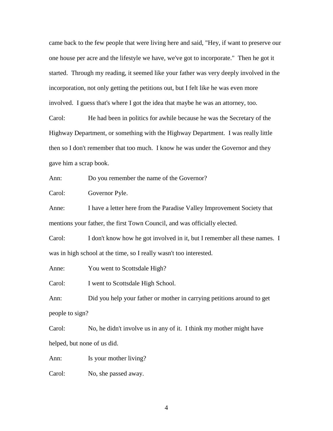came back to the few people that were living here and said, "Hey, if want to preserve our one house per acre and the lifestyle we have, we've got to incorporate." Then he got it started. Through my reading, it seemed like your father was very deeply involved in the incorporation, not only getting the petitions out, but I felt like he was even more involved. I guess that's where I got the idea that maybe he was an attorney, too.

Carol: He had been in politics for awhile because he was the Secretary of the Highway Department, or something with the Highway Department. I was really little then so I don't remember that too much. I know he was under the Governor and they gave him a scrap book.

Ann: Do you remember the name of the Governor?

Carol: Governor Pyle.

Anne: I have a letter here from the Paradise Valley Improvement Society that mentions your father, the first Town Council, and was officially elected.

Carol: I don't know how he got involved in it, but I remember all these names. I was in high school at the time, so I really wasn't too interested.

Anne: You went to Scottsdale High?

Carol: I went to Scottsdale High School.

Ann: Did you help your father or mother in carrying petitions around to get people to sign?

Carol: No, he didn't involve us in any of it. I think my mother might have helped, but none of us did.

Ann: Is your mother living?

Carol: No, she passed away.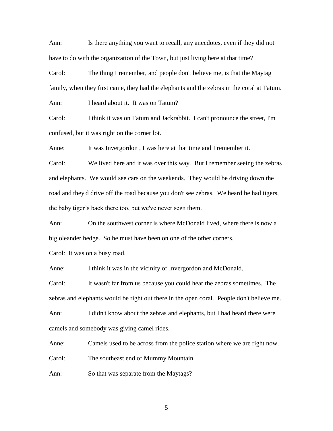Ann: Is there anything you want to recall, any anecdotes, even if they did not have to do with the organization of the Town, but just living here at that time?

Carol: The thing I remember, and people don't believe me, is that the Maytag family, when they first came, they had the elephants and the zebras in the coral at Tatum.

Ann: I heard about it. It was on Tatum?

Carol: I think it was on Tatum and Jackrabbit. I can't pronounce the street, I'm confused, but it was right on the corner lot.

Anne: It was Invergordon, I was here at that time and I remember it.

Carol: We lived here and it was over this way. But I remember seeing the zebras and elephants. We would see cars on the weekends. They would be driving down the road and they'd drive off the road because you don't see zebras. We heard he had tigers, the baby tiger's back there too, but we've never seen them.

Ann: On the southwest corner is where McDonald lived, where there is now a big oleander hedge. So he must have been on one of the other corners.

Carol: It was on a busy road.

Anne: I think it was in the vicinity of Invergordon and McDonald.

Carol: It wasn't far from us because you could hear the zebras sometimes. The zebras and elephants would be right out there in the open coral. People don't believe me.

Ann: I didn't know about the zebras and elephants, but I had heard there were camels and somebody was giving camel rides.

Anne: Camels used to be across from the police station where we are right now.

Carol: The southeast end of Mummy Mountain.

Ann: So that was separate from the Maytags?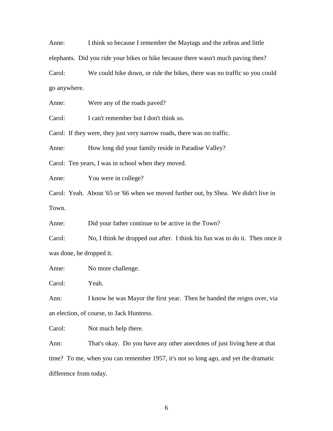Anne: I think so because I remember the Maytags and the zebras and little elephants. Did you ride your bikes or hike because there wasn't much paving then?

Carol: We could hike down, or ride the bikes, there was no traffic so you could go anywhere.

Anne: Were any of the roads paved?

Carol: I can't remember but I don't think so.

Carol: If they were, they just very narrow roads, there was no traffic.

Anne: How long did your family reside in Paradise Valley?

Carol: Ten years, I was in school when they moved.

Anne: You were in college?

Carol: Yeah. About '65 or '66 when we moved further out, by Shea. We didn't live in Town.

Anne: Did your father continue to be active in the Town?

Carol: No, I think he dropped out after. I think his fun was to do it. Then once it was done, he dropped it.

Anne: No more challenge.

Carol: Yeah.

Ann: I know he was Mayor the first year. Then he handed the reigns over, via an election, of course, to Jack Huntress.

Carol: Not much help there.

Ann: That's okay. Do you have any other anecdotes of just living here at that time? To me, when you can remember 1957, it's not so long ago, and yet the dramatic difference from today.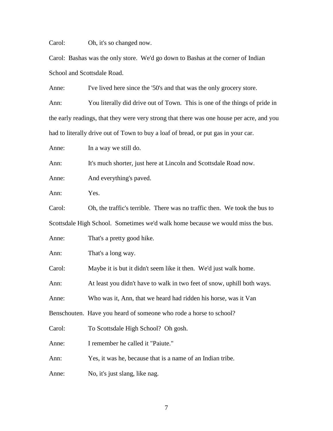Carol: Oh, it's so changed now.

Carol: Bashas was the only store. We'd go down to Bashas at the corner of Indian School and Scottsdale Road.

Anne: I've lived here since the '50's and that was the only grocery store.

Ann: You literally did drive out of Town. This is one of the things of pride in the early readings, that they were very strong that there was one house per acre, and you had to literally drive out of Town to buy a loaf of bread, or put gas in your car.

Anne: In a way we still do.

Ann: It's much shorter, just here at Lincoln and Scottsdale Road now.

Anne: And everything's paved.

Ann: Yes.

Carol: Oh, the traffic's terrible. There was no traffic then. We took the bus to Scottsdale High School. Sometimes we'd walk home because we would miss the bus.

Anne: That's a pretty good hike.

Ann: That's a long way.

Carol: Maybe it is but it didn't seem like it then. We'd just walk home.

Ann: At least you didn't have to walk in two feet of snow, uphill both ways.

Anne: Who was it, Ann, that we heard had ridden his horse, was it Van

Benschouten. Have you heard of someone who rode a horse to school?

Carol: To Scottsdale High School? Oh gosh.

Anne: I remember he called it "Paiute."

Ann: Yes, it was he, because that is a name of an Indian tribe.

Anne: No, it's just slang, like nag.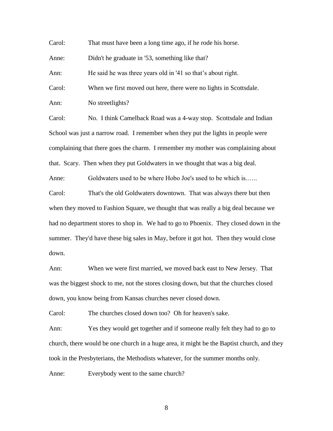Carol: That must have been a long time ago, if he rode his horse.

Anne: Didn't he graduate in '53, something like that?

Ann: He said he was three years old in '41 so that's about right.

Carol: When we first moved out here, there were no lights in Scottsdale.

Ann: No streetlights?

Carol: No. I think Camelback Road was a 4-way stop. Scottsdale and Indian School was just a narrow road. I remember when they put the lights in people were complaining that there goes the charm. I remember my mother was complaining about that. Scary. Then when they put Goldwaters in we thought that was a big deal.

Anne: Goldwaters used to be where Hobo Joe's used to be which is.…..

Carol: That's the old Goldwaters downtown. That was always there but then when they moved to Fashion Square, we thought that was really a big deal because we had no department stores to shop in. We had to go to Phoenix. They closed down in the summer. They'd have these big sales in May, before it got hot. Then they would close down.

Ann: When we were first married, we moved back east to New Jersey. That was the biggest shock to me, not the stores closing down, but that the churches closed down, you know being from Kansas churches never closed down.

Carol: The churches closed down too? Oh for heaven's sake.

Ann: Yes they would get together and if someone really felt they had to go to church, there would be one church in a huge area, it might be the Baptist church, and they took in the Presbyterians, the Methodists whatever, for the summer months only.

Anne: Everybody went to the same church?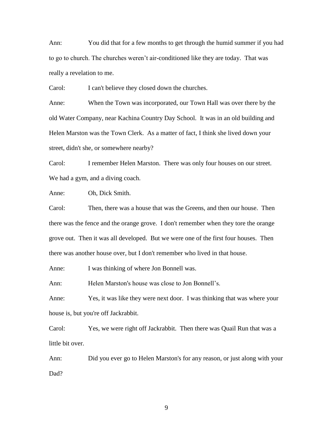Ann: You did that for a few months to get through the humid summer if you had to go to church. The churches weren't air-conditioned like they are today. That was really a revelation to me.

Carol: I can't believe they closed down the churches.

Anne: When the Town was incorporated, our Town Hall was over there by the old Water Company, near Kachina Country Day School. It was in an old building and Helen Marston was the Town Clerk. As a matter of fact, I think she lived down your street, didn't she, or somewhere nearby?

Carol: I remember Helen Marston. There was only four houses on our street. We had a gym, and a diving coach.

Anne: Oh, Dick Smith.

Carol: Then, there was a house that was the Greens, and then our house. Then there was the fence and the orange grove. I don't remember when they tore the orange grove out. Then it was all developed. But we were one of the first four houses. Then there was another house over, but I don't remember who lived in that house.

Anne: I was thinking of where Jon Bonnell was.

Ann: Helen Marston's house was close to Jon Bonnell's.

Anne: Yes, it was like they were next door. I was thinking that was where your house is, but you're off Jackrabbit.

Carol: Yes, we were right off Jackrabbit. Then there was Quail Run that was a little bit over.

Ann: Did you ever go to Helen Marston's for any reason, or just along with your Dad?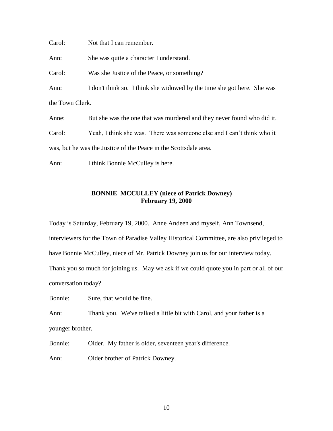Carol: Not that I can remember.

Ann: She was quite a character I understand.

Carol: Was she Justice of the Peace, or something?

Ann: I don't think so. I think she widowed by the time she got here. She was the Town Clerk.

Anne: But she was the one that was murdered and they never found who did it.

Carol: Yeah, I think she was. There was someone else and I can't think who it was, but he was the Justice of the Peace in the Scottsdale area.

Ann: I think Bonnie McCulley is here.

## **BONNIE MCCULLEY (niece of Patrick Downey) February 19, 2000**

Today is Saturday, February 19, 2000. Anne Andeen and myself, Ann Townsend, interviewers for the Town of Paradise Valley Historical Committee, are also privileged to have Bonnie McCulley, niece of Mr. Patrick Downey join us for our interview today.

Thank you so much for joining us. May we ask if we could quote you in part or all of our conversation today?

Bonnie: Sure, that would be fine.

Ann: Thank you. We've talked a little bit with Carol, and your father is a younger brother.

Bonnie: Older. My father is older, seventeen year's difference.

Ann: Older brother of Patrick Downey.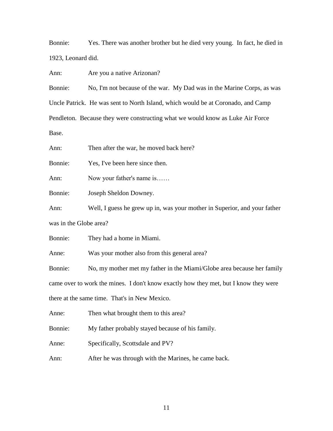Bonnie: Yes. There was another brother but he died very young. In fact, he died in 1923, Leonard did.

Ann: Are you a native Arizonan?

Bonnie: No, I'm not because of the war. My Dad was in the Marine Corps, as was Uncle Patrick. He was sent to North Island, which would be at Coronado, and Camp Pendleton. Because they were constructing what we would know as Luke Air Force Base.

Ann: Then after the war, he moved back here?

Bonnie: Yes, I've been here since then.

Ann: Now your father's name is……

Bonnie: Joseph Sheldon Downey.

Ann: Well, I guess he grew up in, was your mother in Superior, and your father was in the Globe area?

Bonnie: They had a home in Miami.

Anne: Was your mother also from this general area?

Bonnie: No, my mother met my father in the Miami/Globe area because her family came over to work the mines. I don't know exactly how they met, but I know they were there at the same time. That's in New Mexico.

Anne: Then what brought them to this area?

Bonnie: My father probably stayed because of his family.

Anne: Specifically, Scottsdale and PV?

Ann: After he was through with the Marines, he came back.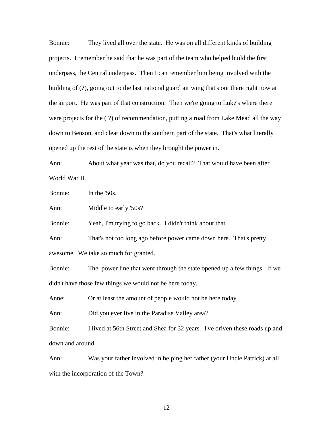Bonnie: They lived all over the state. He was on all different kinds of building projects. I remember he said that he was part of the team who helped build the first underpass, the Central underpass. Then I can remember him being involved with the building of (?), going out to the last national guard air wing that's out there right now at the airport. He was part of that construction. Then we're going to Luke's where there were projects for the ( ?) of recommendation, putting a road from Lake Mead all the way down to Benson, and clear down to the southern part of the state. That's what literally opened up the rest of the state is when they brought the power in.

Ann: About what year was that, do you recall? That would have been after World War II.

Bonnie: In the '50s.

Ann: Middle to early '50s?

Bonnie: Yeah, I'm trying to go back. I didn't think about that.

Ann: That's not too long ago before power came down here. That's pretty awesome. We take so much for granted.

Bonnie: The power line that went through the state opened up a few things. If we didn't have those few things we would not be here today.

Anne: Or at least the amount of people would not be here today.

Ann: Did you ever live in the Paradise Valley area?

Bonnie: I lived at 56th Street and Shea for 32 years. I've driven these roads up and down and around.

Ann: Was your father involved in helping her father (your Uncle Patrick) at all with the incorporation of the Town?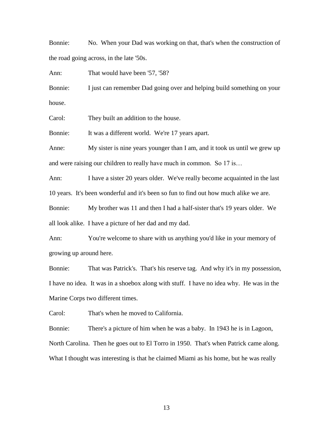Bonnie: No. When your Dad was working on that, that's when the construction of the road going across, in the late '50s.

Ann: That would have been '57, '58?

Bonnie: I just can remember Dad going over and helping build something on your house.

Carol: They built an addition to the house.

Bonnie: It was a different world. We're 17 years apart.

Anne: My sister is nine years younger than I am, and it took us until we grew up and were raising our children to really have much in common. So 17 is…

Ann: I have a sister 20 years older. We've really become acquainted in the last 10 years. It's been wonderful and it's been so fun to find out how much alike we are.

Bonnie: My brother was 11 and then I had a half-sister that's 19 years older. We all look alike. I have a picture of her dad and my dad.

Ann: You're welcome to share with us anything you'd like in your memory of growing up around here.

Bonnie: That was Patrick's. That's his reserve tag. And why it's in my possession, I have no idea. It was in a shoebox along with stuff. I have no idea why. He was in the Marine Corps two different times.

Carol: That's when he moved to California.

Bonnie: There's a picture of him when he was a baby. In 1943 he is in Lagoon, North Carolina. Then he goes out to El Torro in 1950. That's when Patrick came along. What I thought was interesting is that he claimed Miami as his home, but he was really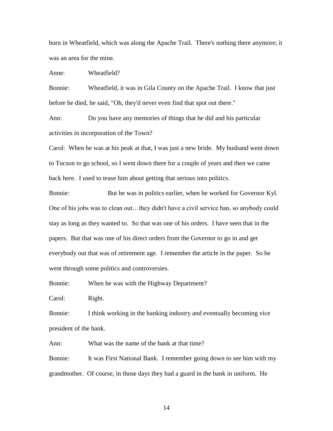born in Wheatfield, which was along the Apache Trail. There's nothing there anymore; it was an area for the mine.

Anne: Wheatfield?

Bonnie: Wheatfield, it was in Gila County on the Apache Trail. I know that just before he died, he said, "Oh, they'd never even find that spot out there."

Ann: Do you have any memories of things that he did and his particular activities in incorporation of the Town?

Carol: When he was at his peak at that, I was just a new bride. My husband went down to Tucson to go school, so I went down there for a couple of years and then we came back here. I used to tease him about getting that serious into politics.

Bonnie: But he was in politics earlier, when he worked for Governor Kyl. One of his jobs was to clean out…they didn't have a civil service ban, so anybody could stay as long as they wanted to. So that was one of his orders. I have seen that in the papers. But that was one of his direct orders from the Governor to go in and get everybody out that was of retirement age. I remember the article in the paper. So he went through some politics and controversies.

Bonnie: When he was with the Highway Department?

Carol: Right.

Bonnie: I think working in the banking industry and eventually becoming vice president of the bank.

Ann: What was the name of the bank at that time?

Bonnie: It was First National Bank. I remember going down to see him with my grandmother. Of course, in those days they had a guard in the bank in uniform. He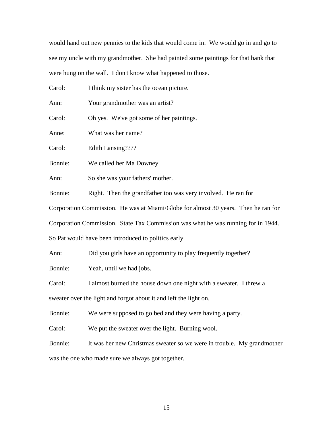would hand out new pennies to the kids that would come in. We would go in and go to see my uncle with my grandmother. She had painted some paintings for that bank that were hung on the wall. I don't know what happened to those.

| Carol:                                                                             | I think my sister has the ocean picture.                      |  |
|------------------------------------------------------------------------------------|---------------------------------------------------------------|--|
| Ann:                                                                               | Your grandmother was an artist?                               |  |
| Carol:                                                                             | Oh yes. We've got some of her paintings.                      |  |
| Anne:                                                                              | What was her name?                                            |  |
| Carol:                                                                             | Edith Lansing????                                             |  |
| Bonnie:                                                                            | We called her Ma Downey.                                      |  |
| Ann:                                                                               | So she was your fathers' mother.                              |  |
| Bonnie:                                                                            | Right. Then the grandfather too was very involved. He ran for |  |
| Corporation Commission. He was at Miami/Globe for almost 30 years. Then he ran for |                                                               |  |
| Corporation Commission. State Tax Commission was what he was running for in 1944.  |                                                               |  |

So Pat would have been introduced to politics early.

Ann: Did you girls have an opportunity to play frequently together?

Bonnie: Yeah, until we had jobs.

Carol: I almost burned the house down one night with a sweater. I threw a

sweater over the light and forgot about it and left the light on.

Bonnie: We were supposed to go bed and they were having a party.

Carol: We put the sweater over the light. Burning wool.

Bonnie: It was her new Christmas sweater so we were in trouble. My grandmother was the one who made sure we always got together.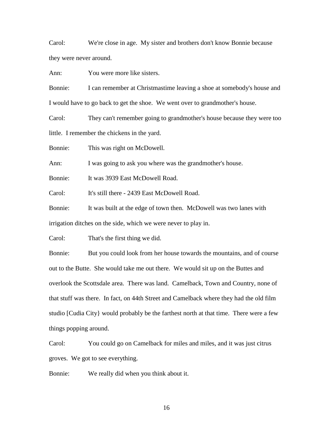Carol: We're close in age. My sister and brothers don't know Bonnie because they were never around.

Ann: You were more like sisters.

Bonnie: I can remember at Christmastime leaving a shoe at somebody's house and I would have to go back to get the shoe. We went over to grandmother's house.

Carol: They can't remember going to grandmother's house because they were too little. I remember the chickens in the yard.

Bonnie: This was right on McDowell.

Ann: I was going to ask you where was the grandmother's house.

Bonnie: It was 3939 East McDowell Road.

Carol: It's still there - 2439 East McDowell Road.

Bonnie: It was built at the edge of town then. McDowell was two lanes with irrigation ditches on the side, which we were never to play in.

Carol: That's the first thing we did.

Bonnie: But you could look from her house towards the mountains, and of course out to the Butte. She would take me out there. We would sit up on the Buttes and overlook the Scottsdale area. There was land. Camelback, Town and Country, none of that stuff was there. In fact, on 44th Street and Camelback where they had the old film studio [Cudia City} would probably be the farthest north at that time. There were a few things popping around.

Carol: You could go on Camelback for miles and miles, and it was just citrus groves. We got to see everything.

Bonnie: We really did when you think about it.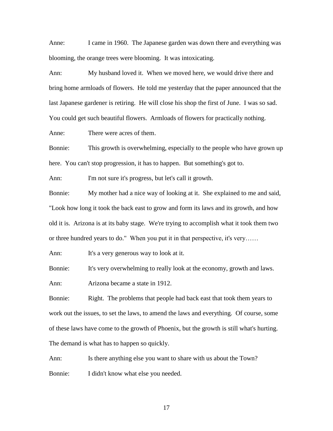Anne: I came in 1960. The Japanese garden was down there and everything was blooming, the orange trees were blooming. It was intoxicating.

Ann: My husband loved it. When we moved here, we would drive there and bring home armloads of flowers. He told me yesterday that the paper announced that the last Japanese gardener is retiring. He will close his shop the first of June. I was so sad. You could get such beautiful flowers. Armloads of flowers for practically nothing.

Anne: There were acres of them.

Bonnie: This growth is overwhelming, especially to the people who have grown up here. You can't stop progression, it has to happen. But something's got to.

Ann: I'm not sure it's progress, but let's call it growth.

Bonnie: My mother had a nice way of looking at it. She explained to me and said, "Look how long it took the back east to grow and form its laws and its growth, and how old it is. Arizona is at its baby stage. We're trying to accomplish what it took them two or three hundred years to do." When you put it in that perspective, it's very……

Ann: It's a very generous way to look at it.

Bonnie: It's very overwhelming to really look at the economy, growth and laws.

Ann: Arizona became a state in 1912.

Bonnie: Right. The problems that people had back east that took them years to work out the issues, to set the laws, to amend the laws and everything. Of course, some of these laws have come to the growth of Phoenix, but the growth is still what's hurting. The demand is what has to happen so quickly.

Ann: Is there anything else you want to share with us about the Town? Bonnie: I didn't know what else you needed.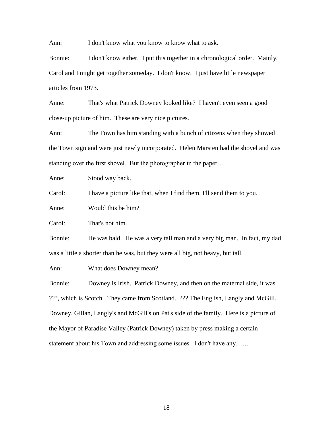Ann: I don't know what you know to know what to ask.

Bonnie: I don't know either. I put this together in a chronological order. Mainly, Carol and I might get together someday. I don't know. I just have little newspaper articles from 1973.

Anne: That's what Patrick Downey looked like? I haven't even seen a good close-up picture of him. These are very nice pictures.

Ann: The Town has him standing with a bunch of citizens when they showed the Town sign and were just newly incorporated. Helen Marsten had the shovel and was standing over the first shovel. But the photographer in the paper……

Anne: Stood way back.

Carol: I have a picture like that, when I find them, I'll send them to you.

Anne: Would this be him?

Carol: That's not him.

Bonnie: He was bald. He was a very tall man and a very big man. In fact, my dad was a little a shorter than he was, but they were all big, not heavy, but tall.

Ann: What does Downey mean?

Bonnie: Downey is Irish. Patrick Downey, and then on the maternal side, it was ???, which is Scotch. They came from Scotland. ??? The English, Langly and McGill. Downey, Gillan, Langly's and McGill's on Pat's side of the family. Here is a picture of the Mayor of Paradise Valley (Patrick Downey) taken by press making a certain statement about his Town and addressing some issues. I don't have any……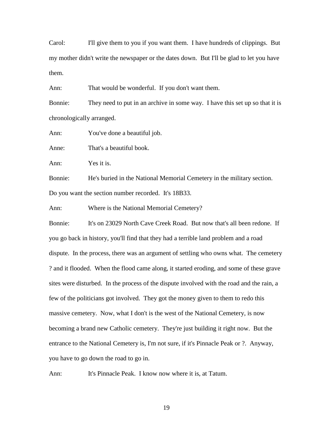Carol: I'll give them to you if you want them. I have hundreds of clippings. But my mother didn't write the newspaper or the dates down. But I'll be glad to let you have them.

Ann: That would be wonderful. If you don't want them.

Bonnie: They need to put in an archive in some way. I have this set up so that it is chronologically arranged.

Ann: You've done a beautiful job.

Anne: That's a beautiful book.

Ann: Yes it is.

Bonnie: He's buried in the National Memorial Cemetery in the military section. Do you want the section number recorded. It's 18B33.

Ann: Where is the National Memorial Cemetery?

Bonnie: It's on 23029 North Cave Creek Road. But now that's all been redone. If you go back in history, you'll find that they had a terrible land problem and a road dispute. In the process, there was an argument of settling who owns what. The cemetery ? and it flooded. When the flood came along, it started eroding, and some of these grave sites were disturbed. In the process of the dispute involved with the road and the rain, a few of the politicians got involved. They got the money given to them to redo this massive cemetery. Now, what I don't is the west of the National Cemetery, is now becoming a brand new Catholic cemetery. They're just building it right now. But the entrance to the National Cemetery is, I'm not sure, if it's Pinnacle Peak or ?. Anyway, you have to go down the road to go in.

Ann: It's Pinnacle Peak. I know now where it is, at Tatum.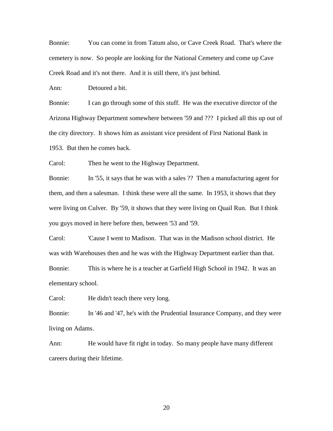Bonnie: You can come in from Tatum also, or Cave Creek Road. That's where the cemetery is now. So people are looking for the National Cemetery and come up Cave Creek Road and it's not there. And it is still there, it's just behind.

Ann: Detoured a bit.

Bonnie: I can go through some of this stuff. He was the executive director of the Arizona Highway Department somewhere between '59 and ??? I picked all this up out of the city directory. It shows him as assistant vice president of First National Bank in 1953. But then he comes back.

Carol: Then he went to the Highway Department.

Bonnie: In '55, it says that he was with a sales ?? Then a manufacturing agent for them, and then a salesman. I think these were all the same. In 1953, it shows that they were living on Culver. By '59, it shows that they were living on Quail Run. But I think you guys moved in here before then, between '53 and '59.

Carol: 'Cause I went to Madison. That was in the Madison school district. He was with Warehouses then and he was with the Highway Department earlier than that. Bonnie: This is where he is a teacher at Garfield High School in 1942. It was an elementary school.

Carol: He didn't teach there very long.

Bonnie: In '46 and '47, he's with the Prudential Insurance Company, and they were living on Adams.

Ann: He would have fit right in today. So many people have many different careers during their lifetime.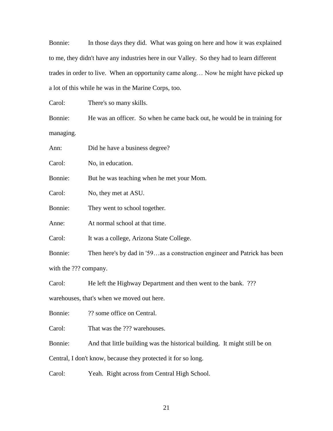Bonnie: In those days they did. What was going on here and how it was explained to me, they didn't have any industries here in our Valley. So they had to learn different trades in order to live. When an opportunity came along… Now he might have picked up a lot of this while he was in the Marine Corps, too.

Carol: There's so many skills.

Bonnie: He was an officer. So when he came back out, he would be in training for managing.

| Ann:    | Did he have a business degree?                                           |
|---------|--------------------------------------------------------------------------|
| Carol:  | No, in education.                                                        |
| Bonnie: | But he was teaching when he met your Mom.                                |
| Carol:  | No, they met at ASU.                                                     |
| Bonnie: | They went to school together.                                            |
| Anne:   | At normal school at that time.                                           |
| Carol:  | It was a college, Arizona State College.                                 |
| Bonnie: | Then here's by dad in '59as a construction engineer and Patrick has been |
|         |                                                                          |

with the ??? company.

Carol: He left the Highway Department and then went to the bank. ???

warehouses, that's when we moved out here.

Bonnie: ?? some office on Central.

Carol: That was the ??? warehouses.

Bonnie: And that little building was the historical building. It might still be on

Central, I don't know, because they protected it for so long.

Carol: Yeah. Right across from Central High School.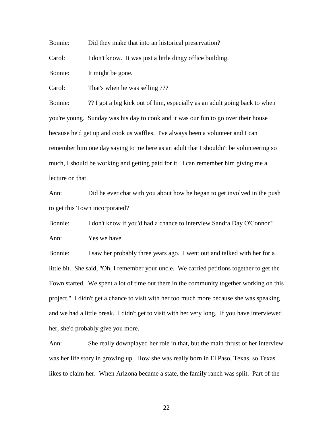Bonnie: Did they make that into an historical preservation?

Carol: I don't know. It was just a little dingy office building.

Bonnie: It might be gone.

Carol: That's when he was selling ???

Bonnie: ?? I got a big kick out of him, especially as an adult going back to when you're young. Sunday was his day to cook and it was our fun to go over their house because he'd get up and cook us waffles. I've always been a volunteer and I can remember him one day saying to me here as an adult that I shouldn't be volunteering so much, I should be working and getting paid for it. I can remember him giving me a lecture on that.

Ann: Did he ever chat with you about how he began to get involved in the push to get this Town incorporated?

Bonnie: I don't know if you'd had a chance to interview Sandra Day O'Connor? Ann: Yes we have.

Bonnie: I saw her probably three years ago. I went out and talked with her for a little bit. She said, "Oh, I remember your uncle. We carried petitions together to get the Town started. We spent a lot of time out there in the community together working on this project." I didn't get a chance to visit with her too much more because she was speaking and we had a little break. I didn't get to visit with her very long. If you have interviewed her, she'd probably give you more.

Ann: She really downplayed her role in that, but the main thrust of her interview was her life story in growing up. How she was really born in El Paso, Texas, so Texas likes to claim her. When Arizona became a state, the family ranch was split. Part of the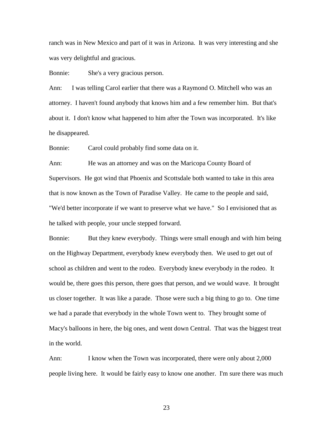ranch was in New Mexico and part of it was in Arizona. It was very interesting and she was very delightful and gracious.

Bonnie: She's a very gracious person.

Ann: I was telling Carol earlier that there was a Raymond O. Mitchell who was an attorney. I haven't found anybody that knows him and a few remember him. But that's about it. I don't know what happened to him after the Town was incorporated. It's like he disappeared.

Bonnie: Carol could probably find some data on it.

Ann: He was an attorney and was on the Maricopa County Board of Supervisors. He got wind that Phoenix and Scottsdale both wanted to take in this area that is now known as the Town of Paradise Valley. He came to the people and said, "We'd better incorporate if we want to preserve what we have." So I envisioned that as he talked with people, your uncle stepped forward.

Bonnie: But they knew everybody. Things were small enough and with him being on the Highway Department, everybody knew everybody then. We used to get out of school as children and went to the rodeo. Everybody knew everybody in the rodeo. It would be, there goes this person, there goes that person, and we would wave. It brought us closer together. It was like a parade. Those were such a big thing to go to. One time we had a parade that everybody in the whole Town went to. They brought some of Macy's balloons in here, the big ones, and went down Central. That was the biggest treat in the world.

Ann: I know when the Town was incorporated, there were only about 2,000 people living here. It would be fairly easy to know one another. I'm sure there was much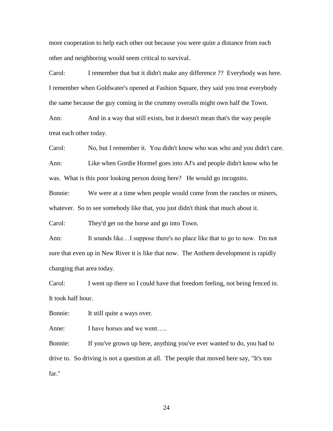more cooperation to help each other out because you were quite a distance from each other and neighboring would seem critical to survival.

Carol: I remember that but it didn't make any difference ?? Everybody was here. I remember when Goldwater's opened at Fashion Square, they said you treat everybody the same because the guy coming in the crummy overalls might own half the Town.

Ann: And in a way that still exists, but it doesn't mean that's the way people treat each other today.

Carol: No, but I remember it. You didn't know who was who and you didn't care. Ann: Like when Gordie Hormel goes into AJ's and people didn't know who he was. What is this poor looking person doing here? He would go incognito.

Bonnie: We were at a time when people would come from the ranches or miners, whatever. So to see somebody like that, you just didn't think that much about it.

Carol: They'd get on the horse and go into Town.

Ann: It sounds like…I suppose there's no place like that to go to now. I'm not sure that even up in New River it is like that now. The Anthem development is rapidly changing that area today.

Carol: I went up there so I could have that freedom feeling, not being fenced in. It took half hour.

Bonnie: It still quite a ways over.

Anne: I have horses and we went.....

Bonnie: If you've grown up here, anything you've ever wanted to do, you had to drive to. So driving is not a question at all. The people that moved here say, "It's too far."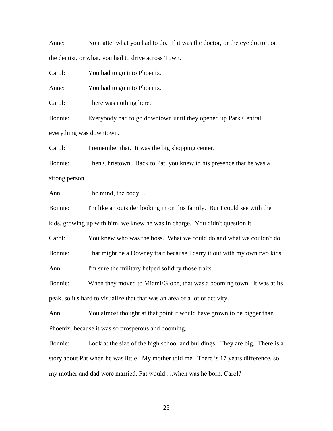Anne: No matter what you had to do. If it was the doctor, or the eye doctor, or the dentist, or what, you had to drive across Town.

Carol: You had to go into Phoenix.

Anne: You had to go into Phoenix.

Carol: There was nothing here.

Bonnie: Everybody had to go downtown until they opened up Park Central, everything was downtown.

Carol: I remember that. It was the big shopping center.

Bonnie: Then Christown. Back to Pat, you knew in his presence that he was a strong person.

Ann: The mind, the body…

Bonnie: I'm like an outsider looking in on this family. But I could see with the kids, growing up with him, we knew he was in charge. You didn't question it.

Carol: You knew who was the boss. What we could do and what we couldn't do.

Bonnie: That might be a Downey trait because I carry it out with my own two kids.

Ann: I'm sure the military helped solidify those traits.

Bonnie: When they moved to Miami/Globe, that was a booming town. It was at its peak, so it's hard to visualize that that was an area of a lot of activity.

Ann: You almost thought at that point it would have grown to be bigger than Phoenix, because it was so prosperous and booming.

Bonnie: Look at the size of the high school and buildings. They are big. There is a story about Pat when he was little. My mother told me. There is 17 years difference, so my mother and dad were married, Pat would …when was he born, Carol?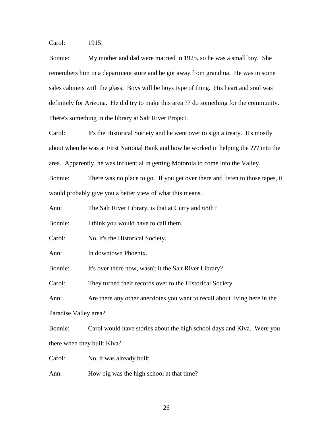Carol: 1915.

Bonnie: My mother and dad were married in 1925, so he was a small boy. She remembers him in a department store and he got away from grandma. He was in some sales cabinets with the glass. Boys will be boys type of thing. His heart and soul was definitely for Arizona. He did try to make this area ?? do something for the community. There's something in the library at Salt River Project.

Carol: It's the Historical Society and he went over to sign a treaty. It's mostly about when he was at First National Bank and how he worked in helping the ??? into the area. Apparently, he was influential in getting Motorola to come into the Valley.

Bonnie: There was no place to go. If you get over there and listen to those tapes, it would probably give you a better view of what this means.

Ann: The Salt River Library, is that at Curry and 68th?

Bonnie: I think you would have to call them.

Carol: No, it's the Historical Society.

Ann: In downtown Phoenix.

Bonnie: It's over there now, wasn't it the Salt River Library?

Carol: They turned their records over to the Historical Society.

Ann: Are there any other anecdotes you want to recall about living here in the Paradise Valley area?

Bonnie: Carol would have stories about the high school days and Kiva. Were you there when they built Kiva?

Carol: No, it was already built.

Ann: How big was the high school at that time?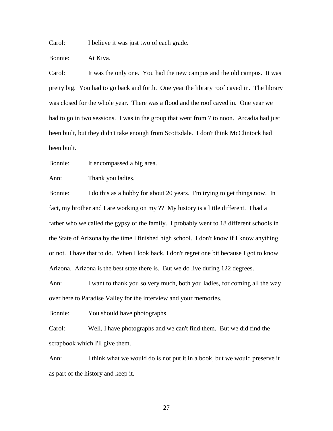Carol: I believe it was just two of each grade.

Bonnie: At Kiva.

Carol: It was the only one. You had the new campus and the old campus. It was pretty big. You had to go back and forth. One year the library roof caved in. The library was closed for the whole year. There was a flood and the roof caved in. One year we had to go in two sessions. I was in the group that went from 7 to noon. Arcadia had just been built, but they didn't take enough from Scottsdale. I don't think McClintock had been built.

Bonnie: It encompassed a big area.

Ann: Thank you ladies.

Bonnie: I do this as a hobby for about 20 years. I'm trying to get things now. In fact, my brother and I are working on my ?? My history is a little different. I had a father who we called the gypsy of the family. I probably went to 18 different schools in the State of Arizona by the time I finished high school. I don't know if I know anything or not. I have that to do. When I look back, I don't regret one bit because I got to know Arizona. Arizona is the best state there is. But we do live during 122 degrees.

Ann: I want to thank you so very much, both you ladies, for coming all the way over here to Paradise Valley for the interview and your memories.

Bonnie: You should have photographs.

Carol: Well, I have photographs and we can't find them. But we did find the scrapbook which I'll give them.

Ann: I think what we would do is not put it in a book, but we would preserve it as part of the history and keep it.